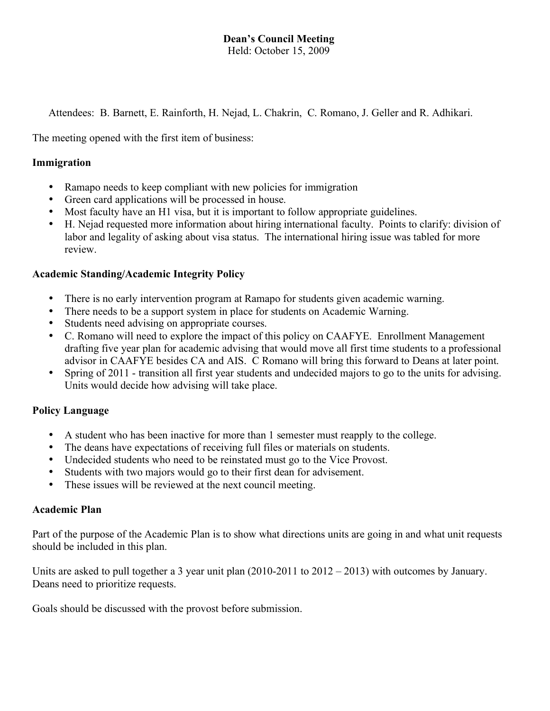# **Dean's Council Meeting**

Held: October 15, 2009

Attendees: B. Barnett, E. Rainforth, H. Nejad, L. Chakrin, C. Romano, J. Geller and R. Adhikari.

The meeting opened with the first item of business:

#### **Immigration**

- Ramapo needs to keep compliant with new policies for immigration
- Green card applications will be processed in house.
- Most faculty have an H1 visa, but it is important to follow appropriate guidelines.
- H. Nejad requested more information about hiring international faculty. Points to clarify: division of labor and legality of asking about visa status. The international hiring issue was tabled for more review.

#### **Academic Standing/Academic Integrity Policy**

- There is no early intervention program at Ramapo for students given academic warning.
- There needs to be a support system in place for students on Academic Warning.
- Students need advising on appropriate courses.
- C. Romano will need to explore the impact of this policy on CAAFYE. Enrollment Management drafting five year plan for academic advising that would move all first time students to a professional advisor in CAAFYE besides CA and AIS. C Romano will bring this forward to Deans at later point.
- Spring of 2011 transition all first year students and undecided majors to go to the units for advising. Units would decide how advising will take place.

## **Policy Language**

- A student who has been inactive for more than 1 semester must reapply to the college.
- The deans have expectations of receiving full files or materials on students.
- Undecided students who need to be reinstated must go to the Vice Provost.
- Students with two majors would go to their first dean for advisement.
- These issues will be reviewed at the next council meeting.

#### **Academic Plan**

Part of the purpose of the Academic Plan is to show what directions units are going in and what unit requests should be included in this plan.

Units are asked to pull together a 3 year unit plan (2010-2011 to 2012 – 2013) with outcomes by January. Deans need to prioritize requests.

Goals should be discussed with the provost before submission.